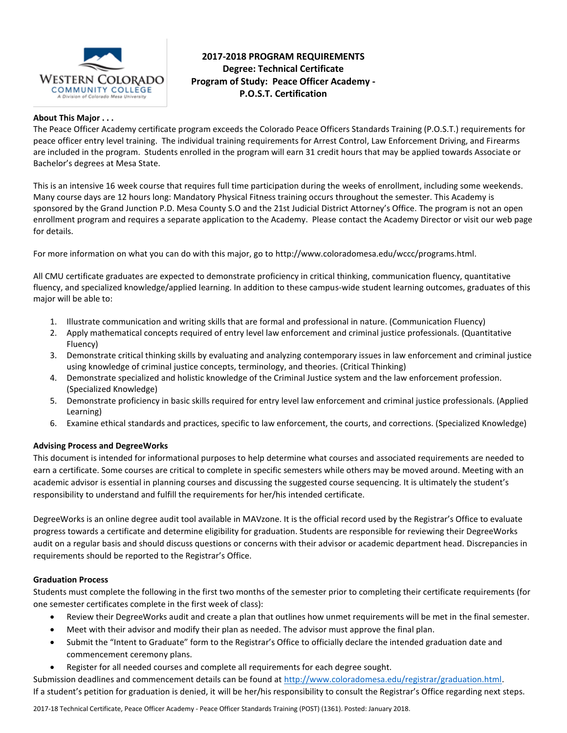

# **2017-2018 PROGRAM REQUIREMENTS Degree: Technical Certificate Program of Study: Peace Officer Academy - P.O.S.T. Certification**

#### **About This Major . . .**

The Peace Officer Academy certificate program exceeds the Colorado Peace Officers Standards Training (P.O.S.T.) requirements for peace officer entry level training. The individual training requirements for Arrest Control, Law Enforcement Driving, and Firearms are included in the program. Students enrolled in the program will earn 31 credit hours that may be applied towards Associate or Bachelor's degrees at Mesa State.

This is an intensive 16 week course that requires full time participation during the weeks of enrollment, including some weekends. Many course days are 12 hours long: Mandatory Physical Fitness training occurs throughout the semester. This Academy is sponsored by the Grand Junction P.D. Mesa County S.O and the 21st Judicial District Attorney's Office. The program is not an open enrollment program and requires a separate application to the Academy. Please contact the Academy Director or visit our web page for details.

For more information on what you can do with this major, go to http://www.coloradomesa.edu/wccc/programs.html.

All CMU certificate graduates are expected to demonstrate proficiency in critical thinking, communication fluency, quantitative fluency, and specialized knowledge/applied learning. In addition to these campus-wide student learning outcomes, graduates of this major will be able to:

- 1. Illustrate communication and writing skills that are formal and professional in nature. (Communication Fluency)
- 2. Apply mathematical concepts required of entry level law enforcement and criminal justice professionals. (Quantitative Fluency)
- 3. Demonstrate critical thinking skills by evaluating and analyzing contemporary issues in law enforcement and criminal justice using knowledge of criminal justice concepts, terminology, and theories. (Critical Thinking)
- 4. Demonstrate specialized and holistic knowledge of the Criminal Justice system and the law enforcement profession. (Specialized Knowledge)
- 5. Demonstrate proficiency in basic skills required for entry level law enforcement and criminal justice professionals. (Applied Learning)
- 6. Examine ethical standards and practices, specific to law enforcement, the courts, and corrections. (Specialized Knowledge)

# **Advising Process and DegreeWorks**

This document is intended for informational purposes to help determine what courses and associated requirements are needed to earn a certificate. Some courses are critical to complete in specific semesters while others may be moved around. Meeting with an academic advisor is essential in planning courses and discussing the suggested course sequencing. It is ultimately the student's responsibility to understand and fulfill the requirements for her/his intended certificate.

DegreeWorks is an online degree audit tool available in MAVzone. It is the official record used by the Registrar's Office to evaluate progress towards a certificate and determine eligibility for graduation. Students are responsible for reviewing their DegreeWorks audit on a regular basis and should discuss questions or concerns with their advisor or academic department head. Discrepancies in requirements should be reported to the Registrar's Office.

#### **Graduation Process**

Students must complete the following in the first two months of the semester prior to completing their certificate requirements (for one semester certificates complete in the first week of class):

- Review their DegreeWorks audit and create a plan that outlines how unmet requirements will be met in the final semester.
- Meet with their advisor and modify their plan as needed. The advisor must approve the final plan.
- Submit the "Intent to Graduate" form to the Registrar's Office to officially declare the intended graduation date and commencement ceremony plans.
- Register for all needed courses and complete all requirements for each degree sought.

Submission deadlines and commencement details can be found at [http://www.coloradomesa.edu/registrar/graduation.html.](http://www.coloradomesa.edu/registrar/graduation.html) If a student's petition for graduation is denied, it will be her/his responsibility to consult the Registrar's Office regarding next steps.

2017-18 Technical Certificate, Peace Officer Academy - Peace Officer Standards Training (POST) (1361). Posted: January 2018.